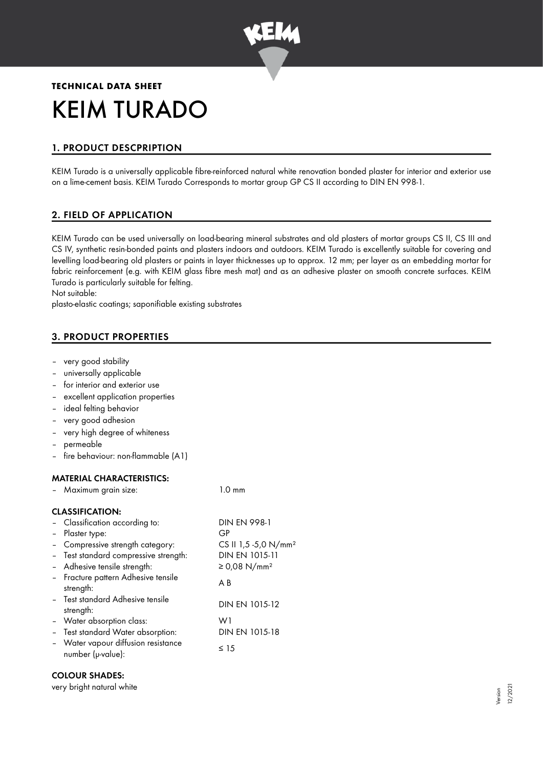

# **TECHNICAL DATA SHEET** KEIM TURADO

# 1. PRODUCT DESCPRIPTION

KEIM Turado is a universally applicable fibre-reinforced natural white renovation bonded plaster for interior and exterior use on a lime-cement basis. KEIM Turado Corresponds to mortar group GP CS II according to DIN EN 998-1.

# 2. FIELD OF APPLICATION

KEIM Turado can be used universally on load-bearing mineral substrates and old plasters of mortar groups CS II, CS III and CS IV, synthetic resin-bonded paints and plasters indoors and outdoors. KEIM Turado is excellently suitable for covering and levelling load-bearing old plasters or paints in layer thicknesses up to approx. 12 mm; per layer as an embedding mortar for fabric reinforcement (e.g. with KEIM glass fibre mesh mat) and as an adhesive plaster on smooth concrete surfaces. KEIM Turado is particularly suitable for felting.

Not suitable:

plasto-elastic coatings; saponifiable existing substrates

# 3. PRODUCT PROPERTIES

- very good stability
- universally applicable
- for interior and exterior use
- excellent application properties
- ideal felting behavior
- very good adhesion
- very high degree of whiteness
- permeable
- fire behaviour: non-flammable (A1)

#### MATERIAL CHARACTERISTICS:

|  |  | Maximum grain size: | $1.0 \text{ mm}$ |
|--|--|---------------------|------------------|
|--|--|---------------------|------------------|

#### CLASSIFICATION:

| - Classification according to:                           | <b>DIN EN 998-1</b>              |
|----------------------------------------------------------|----------------------------------|
| - Plaster type:                                          | GP                               |
| - Compressive strength category:                         | CS II 1,5 -5,0 N/mm <sup>2</sup> |
| - Test standard compressive strength:                    | DIN EN 1015-11                   |
| - Adhesive tensile strength:                             | ≥ 0,08 N/mm <sup>2</sup>         |
| - Fracture pattern Adhesive tensile<br>strength:         | A B                              |
| - Test standard Adhesive tensile<br>strength:            | DIN EN 1015-12                   |
| - Water absorption class:                                | W1                               |
| - Test standard Water absorption:                        | DIN EN 1015-18                   |
| - Water vapour diffusion resistance<br>number (µ-value): | ≤ 15                             |

#### COLOUR SHADES:

very bright natural white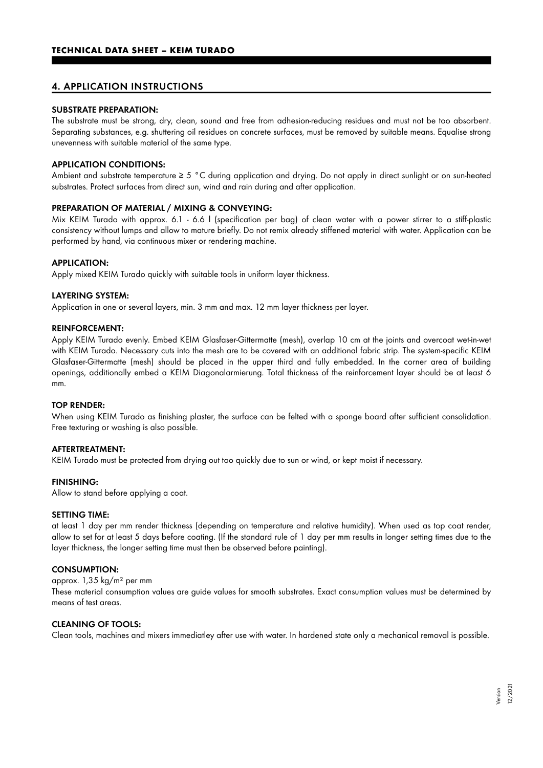# 4. APPLICATION INSTRUCTIONS

#### SUBSTRATE PREPARATION:

The substrate must be strong, dry, clean, sound and free from adhesion-reducing residues and must not be too absorbent. Separating substances, e.g. shuttering oil residues on concrete surfaces, must be removed by suitable means. Equalise strong unevenness with suitable material of the same type.

#### APPLICATION CONDITIONS:

Ambient and substrate temperature ≥ 5 °C during application and drying. Do not apply in direct sunlight or on sun-heated substrates. Protect surfaces from direct sun, wind and rain during and after application.

#### PREPARATION OF MATERIAL / MIXING & CONVEYING:

Mix KEIM Turado with approx. 6.1 - 6.6 l (specification per bag) of clean water with a power stirrer to a stiff-plastic consistency without lumps and allow to mature briefly. Do not remix already stiffened material with water. Application can be performed by hand, via continuous mixer or rendering machine.

#### APPLICATION:

Apply mixed KEIM Turado quickly with suitable tools in uniform layer thickness.

#### LAYERING SYSTEM:

Application in one or several layers, min. 3 mm and max. 12 mm layer thickness per layer.

#### REINFORCEMENT:

Apply KEIM Turado evenly. Embed KEIM Glasfaser-Gittermatte (mesh), overlap 10 cm at the joints and overcoat wet-in-wet with KEIM Turado. Necessary cuts into the mesh are to be covered with an additional fabric strip. The system-specific KEIM Glasfaser-Gittermatte (mesh) should be placed in the upper third and fully embedded. In the corner area of building openings, additionally embed a KEIM Diagonalarmierung. Total thickness of the reinforcement layer should be at least 6 mm.

#### TOP RENDER:

When using KEIM Turado as finishing plaster, the surface can be felted with a sponge board after sufficient consolidation. Free texturing or washing is also possible.

#### AFTERTREATMENT:

KEIM Turado must be protected from drying out too quickly due to sun or wind, or kept moist if necessary.

#### FINISHING:

Allow to stand before applying a coat.

#### SETTING TIME:

at least 1 day per mm render thickness (depending on temperature and relative humidity). When used as top coat render, allow to set for at least 5 days before coating. (If the standard rule of 1 day per mm results in longer setting times due to the layer thickness, the longer setting time must then be observed before painting).

#### CONSUMPTION:

approx. 1,35 kg/m² per mm

These material consumption values are guide values for smooth substrates. Exact consumption values must be determined by means of test areas.

#### CLEANING OF TOOLS:

Clean tools, machines and mixers immediatley after use with water. In hardened state only a mechanical removal is possible.